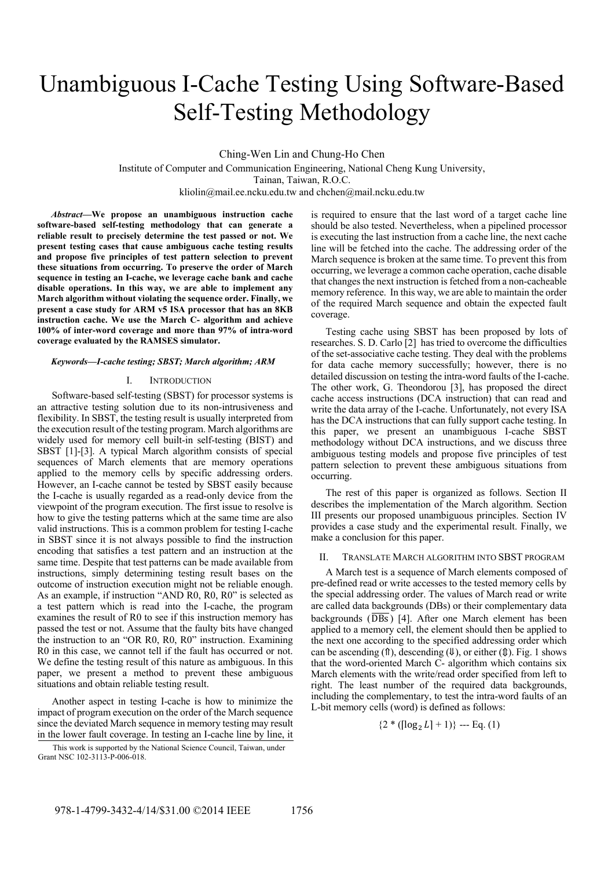# Unambiguous I-Cache Testing Using Software-Based Self-Testing Methodology

Ching-Wen Lin and Chung-Ho Chen Institute of Computer and Communication Engineering, National Cheng Kung University, Tainan, Taiwan, R.O.C. kliolin@mail.ee.ncku.edu.tw and chchen@mail.ncku.edu.tw

*Abstract***—We propose an unambiguous instruction cache software-based self-testing methodology that can generate a reliable result to precisely determine the test passed or not. We present testing cases that cause ambiguous cache testing results and propose five principles of test pattern selection to prevent these situations from occurring. To preserve the order of March sequence in testing an I-cache, we leverage cache bank and cache disable operations. In this way, we are able to implement any March algorithm without violating the sequence order. Finally, we present a case study for ARM v5 ISA processor that has an 8KB instruction cache. We use the March C- algorithm and achieve 100% of inter-word coverage and more than 97% of intra-word coverage evaluated by the RAMSES simulator.** 

#### *Keywords—I-cache testing; SBST; March algorithm; ARM*

# I. INTRODUCTION

Software-based self-testing (SBST) for processor systems is an attractive testing solution due to its non-intrusiveness and flexibility. In SBST, the testing result is usually interpreted from the execution result of the testing program. March algorithms are widely used for memory cell built-in self-testing (BIST) and SBST [1]-[3]. A typical March algorithm consists of special sequences of March elements that are memory operations applied to the memory cells by specific addressing orders. However, an I-cache cannot be tested by SBST easily because the I-cache is usually regarded as a read-only device from the viewpoint of the program execution. The first issue to resolve is how to give the testing patterns which at the same time are also valid instructions. This is a common problem for testing I-cache in SBST since it is not always possible to find the instruction encoding that satisfies a test pattern and an instruction at the same time. Despite that test patterns can be made available from instructions, simply determining testing result bases on the outcome of instruction execution might not be reliable enough. As an example, if instruction "AND R0, R0, R0" is selected as a test pattern which is read into the I-cache, the program examines the result of R0 to see if this instruction memory has passed the test or not. Assume that the faulty bits have changed the instruction to an "OR R0, R0, R0" instruction. Examining R0 in this case, we cannot tell if the fault has occurred or not. We define the testing result of this nature as ambiguous. In this paper, we present a method to prevent these ambiguous situations and obtain reliable testing result.

Another aspect in testing I-cache is how to minimize the impact of program execution on the order of the March sequence since the deviated March sequence in memory testing may result in the lower fault coverage. In testing an I-cache line by line, it

is required to ensure that the last word of a target cache line should be also tested. Nevertheless, when a pipelined processor is executing the last instruction from a cache line, the next cache line will be fetched into the cache. The addressing order of the March sequence is broken at the same time. To prevent this from occurring, we leverage a common cache operation, cache disable that changes the next instruction is fetched from a non-cacheable memory reference. In this way, we are able to maintain the order of the required March sequence and obtain the expected fault coverage.

Testing cache using SBST has been proposed by lots of researches. S. D. Carlo [2] has tried to overcome the difficulties of the set-associative cache testing. They deal with the problems for data cache memory successfully; however, there is no detailed discussion on testing the intra-word faults of the I-cache. The other work, G. Theondorou [3], has proposed the direct cache access instructions (DCA instruction) that can read and write the data array of the I-cache. Unfortunately, not every ISA has the DCA instructions that can fully support cache testing. In this paper, we present an unambiguous I-cache SBST methodology without DCA instructions, and we discuss three ambiguous testing models and propose five principles of test pattern selection to prevent these ambiguous situations from occurring.

The rest of this paper is organized as follows. Section II describes the implementation of the March algorithm. Section III presents our proposed unambiguous principles. Section IV provides a case study and the experimental result. Finally, we make a conclusion for this paper.

# II. TRANSLATE MARCH ALGORITHM INTO SBST PROGRAM

A March test is a sequence of March elements composed of pre-defined read or write accesses to the tested memory cells by the special addressing order. The values of March read or write are called data backgrounds (DBs) or their complementary data backgrounds (DBs) [4]. After one March element has been applied to a memory cell, the element should then be applied to the next one according to the specified addressing order which can be ascending ( $\hat{\mathbb{I}}$ ), descending ( $\hat{\mathbb{U}}$ ), or either ( $\hat{\mathbb{I}}$ ). Fig. 1 shows that the word-oriented March C- algorithm which contains six March elements with the write/read order specified from left to right. The least number of the required data backgrounds, including the complementary, to test the intra-word faults of an L-bit memory cells (word) is defined as follows:

$$
\{2 * (\lceil \log_2 L \rceil + 1)\} \cdots Eq. (1)
$$

This work is supported by the National Science Council, Taiwan, under Grant NSC 102-3113-P-006-018.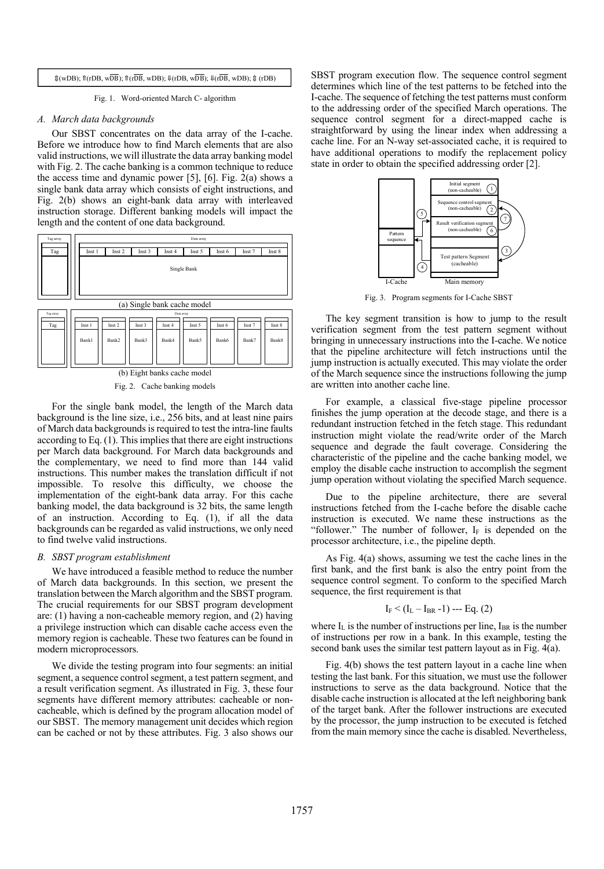Fig. 1. Word-oriented March C- algorithm

### *A. March data backgrounds*

Our SBST concentrates on the data array of the I-cache. Before we introduce how to find March elements that are also valid instructions, we will illustrate the data array banking model with Fig. 2. The cache banking is a common technique to reduce the access time and dynamic power [5], [6]. Fig. 2(a) shows a single bank data array which consists of eight instructions, and Fig. 2(b) shows an eight-bank data array with interleaved instruction storage. Different banking models will impact the length and the content of one data background.



Fig. 2. Cache banking models

For the single bank model, the length of the March data background is the line size, i.e., 256 bits, and at least nine pairs of March data backgrounds is required to test the intra-line faults according to Eq. (1). This implies that there are eight instructions per March data background. For March data backgrounds and the complementary, we need to find more than 144 valid instructions. This number makes the translation difficult if not impossible. To resolve this difficulty, we choose the implementation of the eight-bank data array. For this cache banking model, the data background is 32 bits, the same length of an instruction. According to Eq. (1), if all the data backgrounds can be regarded as valid instructions, we only need to find twelve valid instructions.

# *B. SBST program establishment*

We have introduced a feasible method to reduce the number of March data backgrounds. In this section, we present the translation between the March algorithm and the SBST program. The crucial requirements for our SBST program development are: (1) having a non-cacheable memory region, and (2) having a privilege instruction which can disable cache access even the memory region is cacheable. These two features can be found in modern microprocessors.

We divide the testing program into four segments: an initial segment, a sequence control segment, a test pattern segment, and a result verification segment. As illustrated in Fig. 3, these four segments have different memory attributes: cacheable or noncacheable, which is defined by the program allocation model of our SBST. The memory management unit decides which region can be cached or not by these attributes. Fig. 3 also shows our

SBST program execution flow. The sequence control segment determines which line of the test patterns to be fetched into the I-cache. The sequence of fetching the test patterns must conform to the addressing order of the specified March operations. The sequence control segment for a direct-mapped cache is straightforward by using the linear index when addressing a cache line. For an N-way set-associated cache, it is required to have additional operations to modify the replacement policy state in order to obtain the specified addressing order [2].



Fig. 3. Program segments for I-Cache SBST

The key segment transition is how to jump to the result verification segment from the test pattern segment without bringing in unnecessary instructions into the I-cache. We notice that the pipeline architecture will fetch instructions until the jump instruction is actually executed. This may violate the order of the March sequence since the instructions following the jump are written into another cache line.

For example, a classical five-stage pipeline processor finishes the jump operation at the decode stage, and there is a redundant instruction fetched in the fetch stage. This redundant instruction might violate the read/write order of the March sequence and degrade the fault coverage. Considering the characteristic of the pipeline and the cache banking model, we employ the disable cache instruction to accomplish the segment jump operation without violating the specified March sequence.

Due to the pipeline architecture, there are several instructions fetched from the I-cache before the disable cache instruction is executed. We name these instructions as the "follower." The number of follower,  $I_F$  is depended on the processor architecture, i.e., the pipeline depth.

As Fig. 4(a) shows, assuming we test the cache lines in the first bank, and the first bank is also the entry point from the sequence control segment. To conform to the specified March sequence, the first requirement is that

$$
I_F \leq (I_L - I_{BR} - 1) \cdots Eq. (2)
$$

where  $I_L$  is the number of instructions per line,  $I_{BR}$  is the number of instructions per row in a bank. In this example, testing the second bank uses the similar test pattern layout as in Fig. 4(a).

Fig. 4(b) shows the test pattern layout in a cache line when testing the last bank. For this situation, we must use the follower instructions to serve as the data background. Notice that the disable cache instruction is allocated at the left neighboring bank of the target bank. After the follower instructions are executed by the processor, the jump instruction to be executed is fetched from the main memory since the cache is disabled. Nevertheless,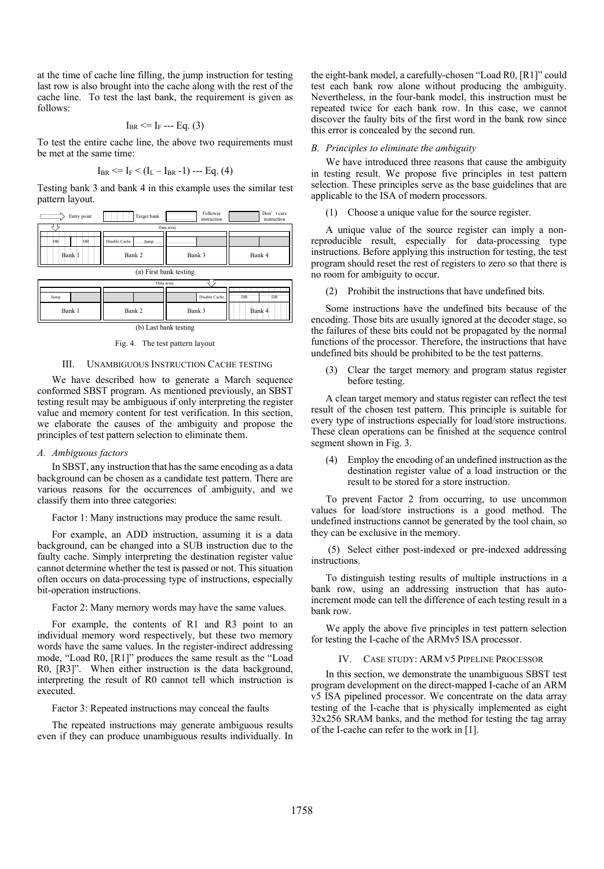at the time of cache line filling, the jump instruction for testing last row is also brought into the cache along with the rest of the cache line. To test the last bank, the requirement is given as follows:

$$
I_{BR} \leq I_F \cdots Eq. (3)
$$

To test the entire cache line, the above two requirements must be met at the same time:

$$
I_{BR} \leq I_F \leq (I_L - I_{BR} - 1) \text{ -- } Eq. (4)
$$

Testing bank 3 and bank 4 in this example uses the similar test pattern layout.

| Target bank                  | Follower<br>instruction | Don't care<br>instruction |  |  |
|------------------------------|-------------------------|---------------------------|--|--|
| Data array                   |                         |                           |  |  |
| Disable Cache<br><b>Jump</b> |                         |                           |  |  |
| Bank 2                       | Bank 3                  | Bank 4                    |  |  |
| (a) First bank testing       |                         |                           |  |  |
|                              |                         |                           |  |  |

| $DB$<br>Disable Cache<br>DB<br>Jump<br>Bank 4<br>Bank 1<br>Bank 2<br>Bank 3 |  |  | Data array |  |  |
|-----------------------------------------------------------------------------|--|--|------------|--|--|
|                                                                             |  |  |            |  |  |
|                                                                             |  |  |            |  |  |

(b) Last bank testing

Fig. 4. The test pattern layout

# III. UNAMBIGUOUS INSTRUCTION CACHE TESTING

We have described how to generate a March sequence conformed SBST program. As mentioned previously, an SBST testing result may be ambiguous if only interpreting the register value and memory content for test verification. In this section, we elaborate the causes of the ambiguity and propose the principles of test pattern selection to eliminate them.

# *A. Ambiguous factors*

In SBST, any instruction that has the same encoding as a data background can be chosen as a candidate test pattern. There are various reasons for the occurrences of ambiguity, and we classify them into three categories:

Factor 1: Many instructions may produce the same result.

For example, an ADD instruction, assuming it is a data background, can be changed into a SUB instruction due to the faulty cache. Simply interpreting the destination register value cannot determine whether the test is passed or not. This situation often occurs on data-processing type of instructions, especially bit-operation instructions.

Factor 2: Many memory words may have the same values.

For example, the contents of R1 and R3 point to an individual memory word respectively, but these two memory words have the same values. In the register-indirect addressing mode, "Load R0, [R1]" produces the same result as the "Load R0, [R3]". When either instruction is the data background, interpreting the result of R0 cannot tell which instruction is executed.

Factor 3: Repeated instructions may conceal the faults

The repeated instructions may generate ambiguous results even if they can produce unambiguous results individually. In

the eight-bank model, a carefully-chosen "Load R0, [R1]" could test each bank row alone without producing the ambiguity. Nevertheless, in the four-bank model, this instruction must be repeated twice for each bank row. In this case, we cannot discover the faulty bits of the first word in the bank row since this error is concealed by the second run.

# *B. Principles to eliminate the ambiguity*

We have introduced three reasons that cause the ambiguity in testing result. We propose five principles in test pattern selection. These principles serve as the base guidelines that are applicable to the ISA of modern processors.

(1) Choose a unique value for the source register.

A unique value of the source register can imply a nonreproducible result, especially for data-processing type instructions. Before applying this instruction for testing, the test program should reset the rest of registers to zero so that there is no room for ambiguity to occur.

(2) Prohibit the instructions that have undefined bits.

Some instructions have the undefined bits because of the encoding. Those bits are usually ignored at the decoder stage, so the failures of these bits could not be propagated by the normal functions of the processor. Therefore, the instructions that have undefined bits should be prohibited to be the test patterns.

(3) Clear the target memory and program status register before testing.

A clean target memory and status register can reflect the test result of the chosen test pattern. This principle is suitable for every type of instructions especially for load/store instructions. These clean operations can be finished at the sequence control segment shown in Fig. 3.

Employ the encoding of an undefined instruction as the destination register value of a load instruction or the result to be stored for a store instruction.

To prevent Factor 2 from occurring, to use uncommon values for load/store instructions is a good method. The undefined instructions cannot be generated by the tool chain, so they can be exclusive in the memory.

 (5) Select either post-indexed or pre-indexed addressing instructions.

To distinguish testing results of multiple instructions in a bank row, using an addressing instruction that has autoincrement mode can tell the difference of each testing result in a bank row.

We apply the above five principles in test pattern selection for testing the I-cache of the ARMv5 ISA processor.

# IV. CASE STUDY: ARM V5 PIPELINE PROCESSOR

In this section, we demonstrate the unambiguous SBST test program development on the direct-mapped I-cache of an ARM v5 ISA pipelined processor. We concentrate on the data array testing of the I-cache that is physically implemented as eight 32x256 SRAM banks, and the method for testing the tag array of the I-cache can refer to the work in [1].